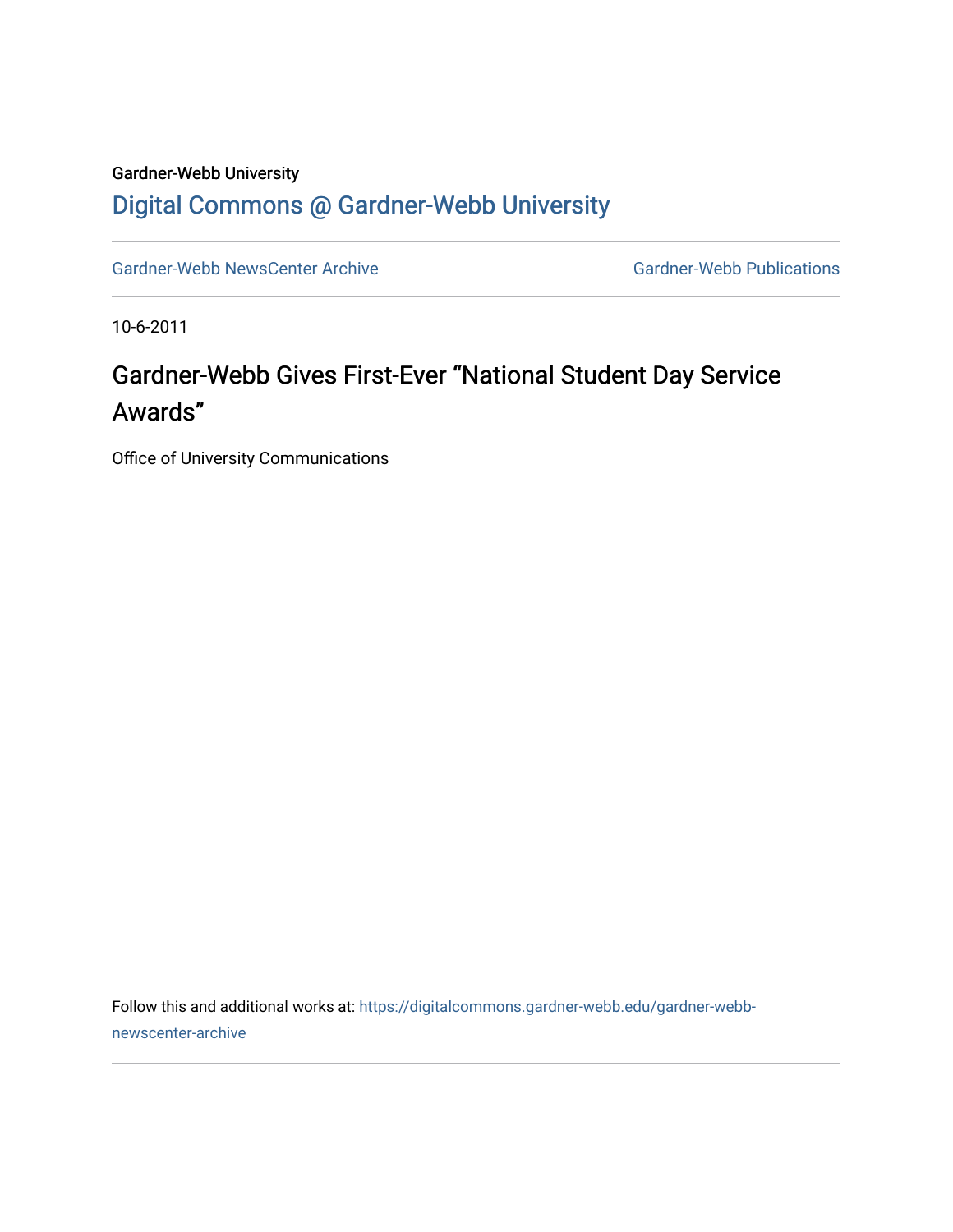## Gardner-Webb University [Digital Commons @ Gardner-Webb University](https://digitalcommons.gardner-webb.edu/)

[Gardner-Webb NewsCenter Archive](https://digitalcommons.gardner-webb.edu/gardner-webb-newscenter-archive) Gardner-Webb Publications

10-6-2011

# Gardner-Webb Gives First-Ever "National Student Day Service Awards"

Office of University Communications

Follow this and additional works at: [https://digitalcommons.gardner-webb.edu/gardner-webb](https://digitalcommons.gardner-webb.edu/gardner-webb-newscenter-archive?utm_source=digitalcommons.gardner-webb.edu%2Fgardner-webb-newscenter-archive%2F2000&utm_medium=PDF&utm_campaign=PDFCoverPages)[newscenter-archive](https://digitalcommons.gardner-webb.edu/gardner-webb-newscenter-archive?utm_source=digitalcommons.gardner-webb.edu%2Fgardner-webb-newscenter-archive%2F2000&utm_medium=PDF&utm_campaign=PDFCoverPages)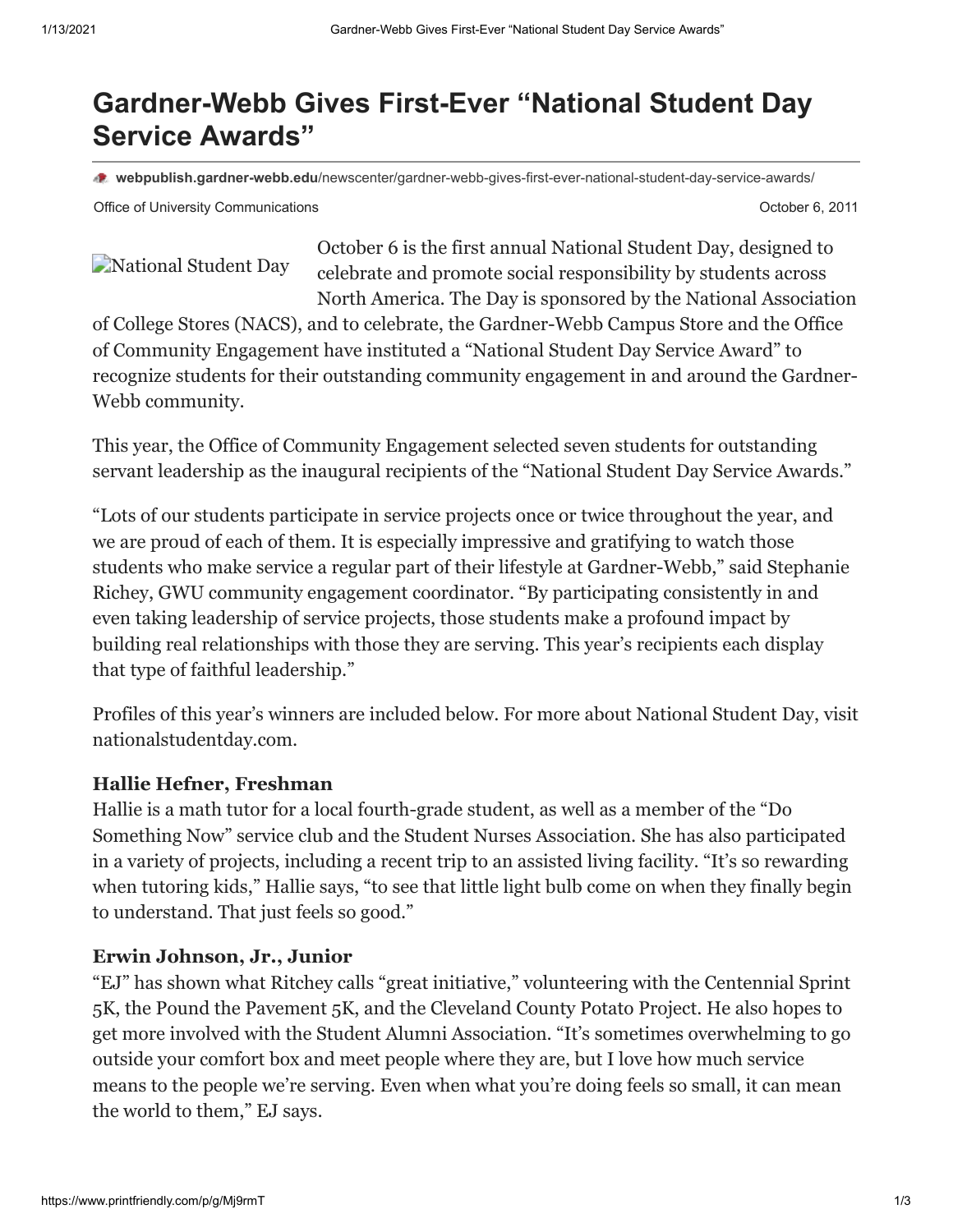# **Gardner-Webb Gives First-Ever "National Student Day Service Awards"**

**webpublish.gardner-webb.edu**[/newscenter/gardner-webb-gives-first-ever-national-student-day-service-awards/](https://webpublish.gardner-webb.edu/newscenter/gardner-webb-gives-first-ever-national-student-day-service-awards/)

Office of University Communications **October 6, 2011 October 6, 2011** 

[National Student Day](http://152.44.63.252/newscenter/?attachment_id=1013)

October 6 is the first annual National Student Day, designed to celebrate and promote social responsibility by students across North America. The Day is sponsored by the National Association

of College Stores (NACS), and to celebrate, the Gardner-Webb Campus Store and the Office of Community Engagement have instituted a "National Student Day Service Award" to recognize students for their outstanding community engagement in and around the Gardner-Webb community.

This year, the Office of Community Engagement selected seven students for outstanding servant leadership as the inaugural recipients of the "National Student Day Service Awards."

"Lots of our students participate in service projects once or twice throughout the year, and we are proud of each of them. It is especially impressive and gratifying to watch those students who make service a regular part of their lifestyle at Gardner-Webb," said Stephanie Richey, GWU community engagement coordinator. "By participating consistently in and even taking leadership of service projects, those students make a profound impact by building real relationships with those they are serving. This year's recipients each display that type of faithful leadership."

Profiles of this year's winners are included below. For more about National Student Day, visit nationalstudentday.com.

### **Hallie Hefner, Freshman**

Hallie is a math tutor for a local fourth-grade student, as well as a member of the "Do Something Now" service club and the Student Nurses Association. She has also participated in a variety of projects, including a recent trip to an assisted living facility. "It's so rewarding when tutoring kids," Hallie says, "to see that little light bulb come on when they finally begin to understand. That just feels so good."

### **Erwin Johnson, Jr., Junior**

"EJ" has shown what Ritchey calls "great initiative," volunteering with the Centennial Sprint 5K, the Pound the Pavement 5K, and the Cleveland County Potato Project. He also hopes to get more involved with the Student Alumni Association. "It's sometimes overwhelming to go outside your comfort box and meet people where they are, but I love how much service means to the people we're serving. Even when what you're doing feels so small, it can mean the world to them," EJ says.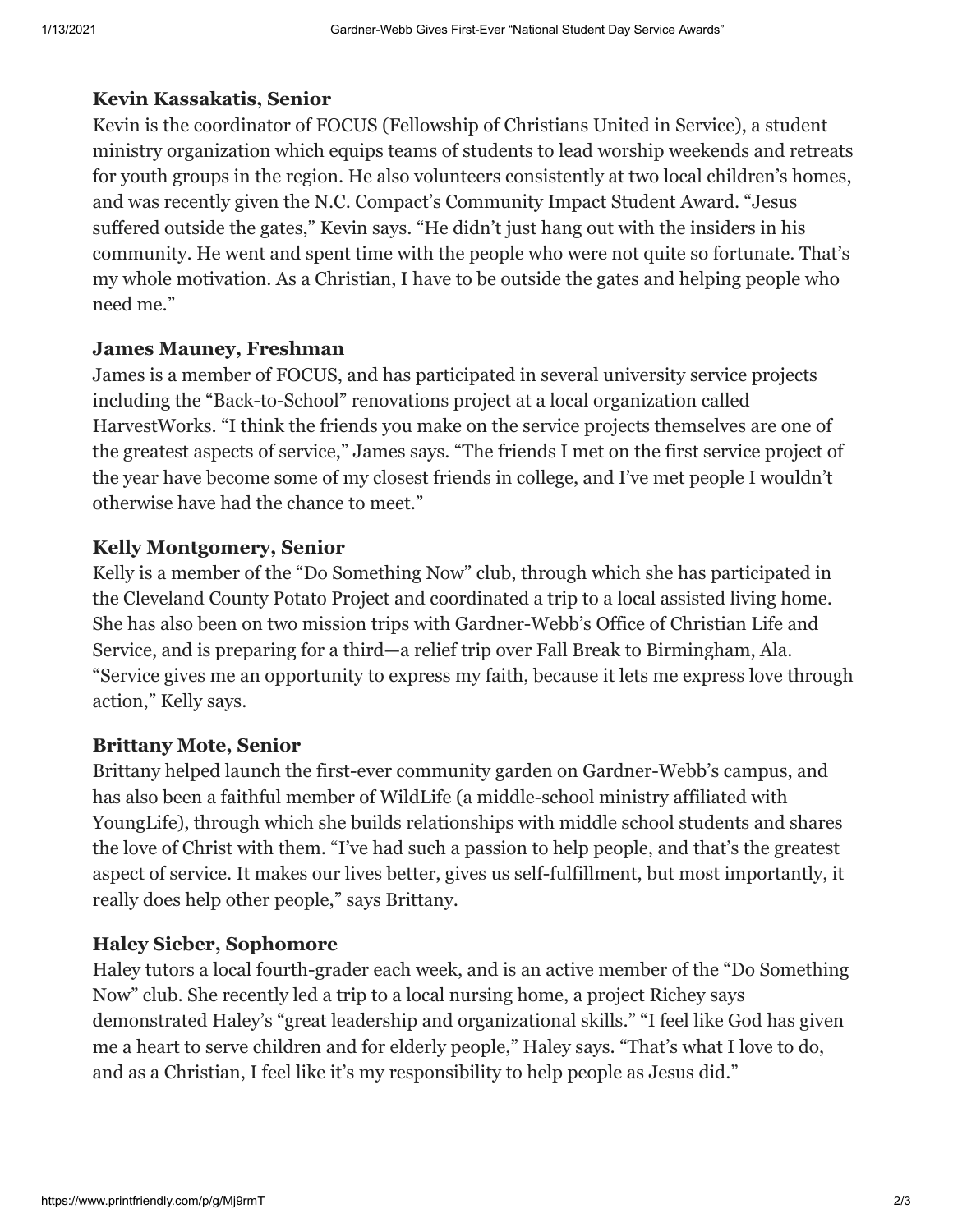#### **Kevin Kassakatis, Senior**

Kevin is the coordinator of FOCUS (Fellowship of Christians United in Service), a student ministry organization which equips teams of students to lead worship weekends and retreats for youth groups in the region. He also volunteers consistently at two local children's homes, and was recently given the N.C. Compact's Community Impact Student Award. "Jesus suffered outside the gates," Kevin says. "He didn't just hang out with the insiders in his community. He went and spent time with the people who were not quite so fortunate. That's my whole motivation. As a Christian, I have to be outside the gates and helping people who need me."

#### **James Mauney, Freshman**

James is a member of FOCUS, and has participated in several university service projects including the "Back-to-School" renovations project at a local organization called HarvestWorks. "I think the friends you make on the service projects themselves are one of the greatest aspects of service," James says. "The friends I met on the first service project of the year have become some of my closest friends in college, and I've met people I wouldn't otherwise have had the chance to meet."

#### **Kelly Montgomery, Senior**

Kelly is a member of the "Do Something Now" club, through which she has participated in the Cleveland County Potato Project and coordinated a trip to a local assisted living home. She has also been on two mission trips with Gardner-Webb's Office of Christian Life and Service, and is preparing for a third—a relief trip over Fall Break to Birmingham, Ala. "Service gives me an opportunity to express my faith, because it lets me express love through action," Kelly says.

#### **Brittany Mote, Senior**

Brittany helped launch the first-ever community garden on Gardner-Webb's campus, and has also been a faithful member of WildLife (a middle-school ministry affiliated with YoungLife), through which she builds relationships with middle school students and shares the love of Christ with them. "I've had such a passion to help people, and that's the greatest aspect of service. It makes our lives better, gives us self-fulfillment, but most importantly, it really does help other people," says Brittany.

#### **Haley Sieber, Sophomore**

Haley tutors a local fourth-grader each week, and is an active member of the "Do Something Now" club. She recently led a trip to a local nursing home, a project Richey says demonstrated Haley's "great leadership and organizational skills." "I feel like God has given me a heart to serve children and for elderly people," Haley says. "That's what I love to do, and as a Christian, I feel like it's my responsibility to help people as Jesus did."